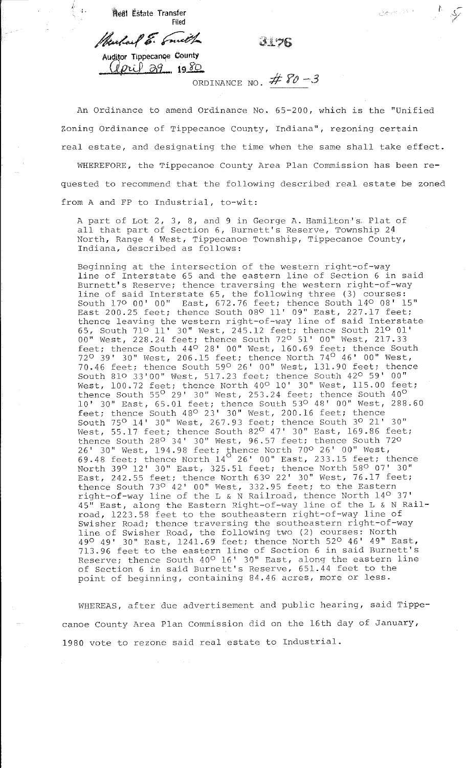$\int$ . **fteal Estate Transfer** Filed

/hudael E. Smith 3176

*temm* &

Auditor Tippecanoe County  $U_{Pl}$   $\partial y_{1}$  1980

ORDINANCE NO.  $#$   $80 - 3$ 

An Ordinance to amend Ordinance No. 65-200, which is the "Unified Zoning Ordinance of Tippecanoe County, Indiana", rezoning certain real estate, and designating the time when the same shall take effect.

WHEREFORE, the Tippecanoe County Area Plan Commission has been requested to recommend that the following described real estate be zoned from A and FP to Industrial, to-wit:

A part of Lot 2, 3, 8, and 9 in George A. Hamilton's Plat of all that part of Section 6, Burnett's Reserve, Township 24 North, Range 4 West, Tippecanoe Township, Tippecanoe County, Indiana, described as follows:

Beginning at the intersection of the western right-of-way line of Interstate 65 and the eastern line of Section 6 in said Burnett's Reserve; thence traversing the western right-of-way line of said Interstate 65, the following three (3) courses: South 170 00' 00'' East, 672.76 feet; thence South 140 08' 15'' East 200.25 feet; thence South 08<sup>0</sup> 11' 09" East, 227.17 feet; thence leaving the western right-of-way line of said Interstate 65, South 710 11' 30" West, 245.12 feet; thence South 210 01' 00'' West, 228.24 feet; thence South *120* 51' 00" West, 217.33 feet; thence South 44<sup>0</sup> 28' 00" West, 160.69 feet; thence South 72° 39' 30" West, 206.15 feet; thence North 74° 46' 00" West, 70.46 feet; thence South 590 26' 00" West, 131.90 feet; thence South 810 33'00'' West, 517.23 feet; thence South 420 59' 00" West, 100.72 feet; thence North 40<sup>0</sup> 10' 30" West, 115.00 feet; thence South 55° 29' 30" West, 253.24 feet; thence South 40° 10' 30'' East, 65.01 feet; thence South 530 48' 00'' West, 288.60 feet; thence South 430 23' 30'' West, 200.16 feet; thence South 75° 14' 30" West, 267.93 feet; thence South 3° 21' 30" West, 55.17 feet; thence South 82<sup>0</sup> 47' 30" East, 169.86 feet; thence South 230 34' 30'' West, 96.57 feet; thence South 720 26' 30" West, 194.98 feet; thence North *100* 26' 00" West,  $69.48$  feet; thence North  $14^{\circ}$  26' 00" East, 233.15 feet; thence North 39° 12' 30'' East, 325.51 feet; thence North 58° 07' 30'' East, 242.55 feet; thence North 630 22' 30" West, 76.17 feet; thence South 73° 42' 00'' West, 332.95 feet; to the Eastern right-of-way line of the L & N Railroad, thence North 14° 37' 45'' East, along the Eastern Right-of-way line of the L & N Railroad, 1223.58 feet to the southeastern right-of-way line of Swisher Road; thence traversing the southeastern right-of-way line of Swisher Road, the following two (2) courses: North 490 49' 30" East, 1241.69 feet; thence North 520 46' 49" East, 713.96 feet to the eastern line of Section 6 in said Burnett's Reserve; thence South 40<sup>0</sup> 16' 30" East, along the eastern line of Section 6 in said Burnett's Reserve, 651.44 feet to the point of beginning, containing 84.46 acres, more or less.

WHEREAS, after due advertisement and public hearing, said Tippecanoe County Area Plan Commission did on the 16th day of January, 1980 vote to rezone said real estate to Industrial.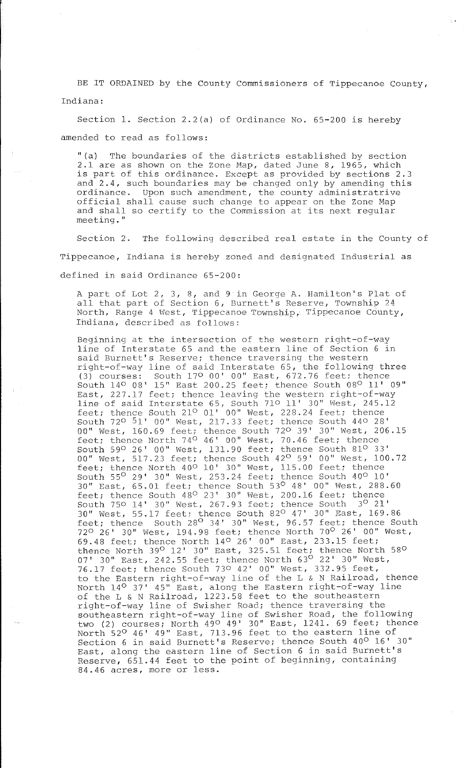BE IT ORDAINED by the County Commissioners of Tippecanoe County, Indiana:

Section 1. Section 2.2(a) of Ordinance No. 65-200 is hereby amended to read as follows:

''(a) The boundaries of the districts established by section 2.1 are as shown on the Zone Map, dated June 8, 1965, which is part of this ordinance. Except as provided by sections 2.3 and 2.4, such boundaries may be changed only by amending this ordinance. Upon such amendment, the county administratrive official shall cause such change to appear on the zone Map and shall so certify to the Commission at its next regular **meeting."** 

Section 2. The following described real estate in the County of Tippecanoe, Indiana is hereby zoned and designated Industrial as defined in said Ordinance 65-200:

A part of Lot 2, 3, 8, and 9 in George A. Hamilton's Plat of all that part of Section 6, Burnett's Reserve, Township 24 North, Range 4 West, Tippecanoe Township, Tippecanoe County, Ihdiana, described as follows:

Beginning at the intersection of the western right-of-way line of Interstate 65 and the eastern line of Section 6 in said Burnett's Reserve; thence traversing the western right-of-way line of said Interstate 65, the following three (3) courses: South 170 00' 00'' East, 672.76 feet; thence South  $14^{\circ}$  08' 15" East 200.25 feet; thence South  $08^{\circ}$  11' 09" East, 227.17 feet; thence leaving the western right-of-way Line of said Interstate 65, South 710 11' 30" West, 245.12 feet; thence South 21º 01' 00" West, 228.24 feet; thence South 720 51' 00" West, 217.33 feet; thence South 440 28' 00" West, 160.69 feet; thence South 720 39' 30" West, 206.15 feet; thence North 74° 46' 00" West, 70.46 feet; thence South 590 26' 00'' West, 131.90 feet; thence South 81° 33' 00" West, 517. 23 feet; thence South 42° 59' 00" West, 100. 72 feet; thence North 40<sup>0</sup> 10' 30" West, 115.00 feet; thence South 55° 29' 30'' West, 253.24 feet; thence South 400 10' 30" East, 65.01 feet; thence South 53° 48' 00" West, 288.60 feet; thence South 48° 23' 30'' West, 200.16 feet; thence South 750 14' 30" West, 267.93 feet; thence South 3° 21' 30" West, 55.17 feet; thence South 82° 47' 30" East, 169.86 feet; thence South 28<sup>0</sup> 34' 30" West, 96.57 feet; thence South 720 26' 30" West, 194.98 feet; thence North *10°* 26' 00" West, 69.48 feet; thence North 140 26' 00'' East, 233.15 feet; thence North 39<sup>0</sup> 12' 30" East, 325.51 feet; thence North 58<sup>0</sup>  $07'$  30" East, 242.55 feet; thence North  $63<sup>0</sup>$  22' 30" West, 76.17 feet; thence South 730 42' 00'' West, 332.95 feet, to the Eastern right-of-way line of the L & N Railroad, thence North 14° 37' 45'' East, along the Eastern right-of-way line of the L & N Railroad, 1223.58 feet to the southeastern right-of-way line of Swisher Road; thence traversing the southeastern right-of-way line of Swisher Road, the following two (2) courses; North 490 49' 30" East, 1241. 69 feet; thence North 52° 46' 49'' East, 713.96 feet to the eastern line of Section 6 in said Burnett's Reserve; thence South 40° 16' 30" East, along the eastern line of Section 6 in said Burnett's Reserve, 651.44 feet to the point of beginning, containing 84.46 acres, more or less.